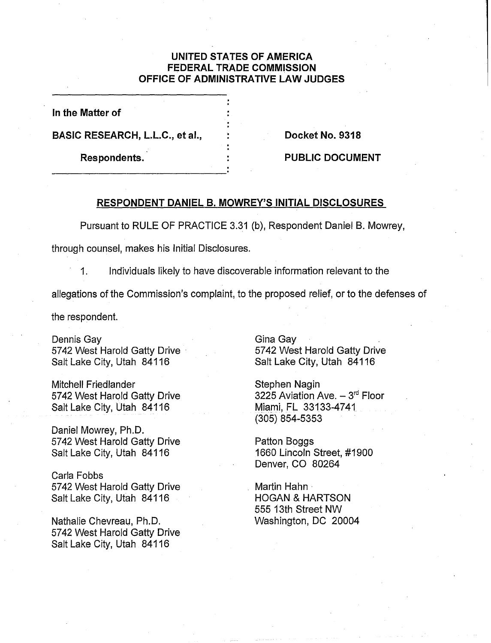## **UNITED STATES OF AMERICA FEDERAL TRADE COMMISSION OFFICE OF ADMINISTRATIVE LAW JUDGES**

**In the Matter of** 

BASIC RESEARCH, L.L.C., et al., The Reserve Basic Reserves **Docket No. 9318** 

Respondents. **All Similars Constants Executive Constants PUBLIC DOCUMENT** 

## **RESPONDENT DANIEL B. MOWREY'S INITIAL DISCLOSURES**

Pursuant to RULE OF PRACTICE 3.31 (b), Respondent Daniel B. Mowrey,

through counsel, makes his Initial Disclosures.

1. Individuals likely to have discoverable information relevant to the

allegations of the Commission's complaint, to the proposed relief, or to the defenses of

the respondent.

Dennis Gay 5742 West Harold Gatty Drive Salt Lake City, Utah 84116

Mitchell Friedlander 5742 West Harold Gatty Drive Salt Lake City, Utah 84116

Daniel Mowrey, Ph.D. 5742 West Harold Gatty Drive Salt Lake City, Utah 841 16

Carla Fobbs 5742 West Harold Gatty Drive Salt Lake City, Utah 841 16

Nathalie Chevreau, Ph.D. 5742 West Harold Gatty Drive Salt Lake City, Utah 841 16

Gina Gay 5742 West Harold Gatty Drive Salt Lake City, Utah 841 16

Stephen Nagin 3225 Aviation Ave.  $-3<sup>rd</sup>$  Floor Miami, FL 33133-4741 (305) 854-5353

Patton Boggs 1660 Lincoln Street, #I900 Denver, CO 80264

Martin Hahn HOGAN & HARTSON 555 13th Street NW Washington, DC 20004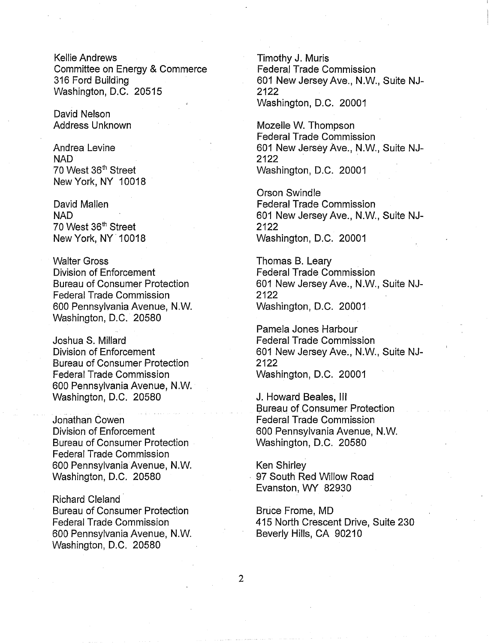Kellie Andrews Committee on Energy & Commerce 316 Ford Building Washington, D.C. 20515

David Nelson Address Unknown

Andrea Levine NAD 70 West 36<sup>th</sup> Street New York, NY 10018

David Mallen **NAD** 70 West 36'h Street New York, NY 10018

Walter Gross Division of Enforcement Bureau of Consumer Protection Federal Trade Commission 600 Pennsylvania Avenue, N.W. Washington, D.C. 20580

Joshua S. Millard Division of Enforcement Bureau of Consumer Protection Federal Trade Commission 600 Pennsylvania Avenue, N.W. Washington, D.C. 20580

Jonathan Cowen Division of Enforcement Bureau of Consumer Protection Federal Trade Commission 600 Pennsylvania Avenue, N.W. Washington, D.C. 20580

Richard Cleland Bureau of Consumer Protection Federal Trade Commission 600 Pennsylvania Avenue, N.W. Washington, D.C. 20580

Timothy J. Muris Federal Trade Commission 601 New Jersey Ave., N.W., Suite NJ-2122 Washington, D.C. 20001

Mozelle W. Thompson Federal Trade Commission 601 New Jersey Ave., N.W., Suite NJ-2122 Washington, D.C. 20001

Orson Swindle Federal Trade Commission 601 New Jersey Ave., N.W., Suite NJ-2122 Washington, D.C. 20001

Thomas B. Leary Federal Trade Commission 601 New Jersey Ave., N.W., Suite NJ-2122 Washington, D.C. 20001

Pamela Jones Harbour Federal Trade Commission 601 New Jersey Ave., N.W., Suite NJ- <sup>I</sup> 2122 Washington, D.C. 20001

J. Howard Beales, Ill Bureau of Consumer Protection Federal Trade Commission 600 Pennsylvania Avenue, N.W. Washington, D.C. 20580

Ken Shirley 97 South Red Willow Road Evanston, WY 82930

Bruce Frome, MD 415 North Crescent Drive, Suite 230 Beverly Hills, CA 90210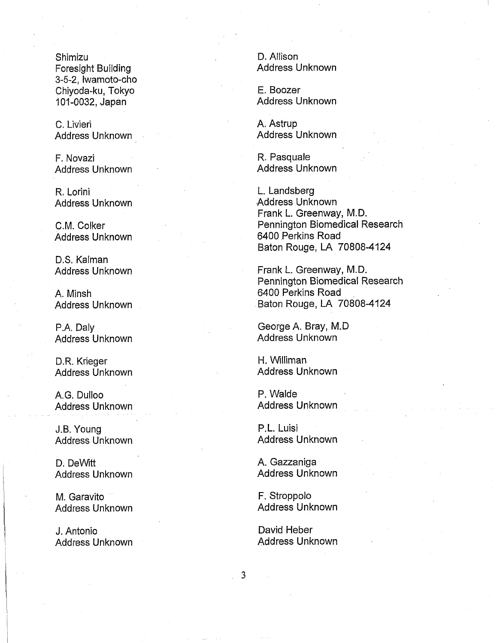Shimizu Foresight Building 3-5-2, Iwamoto-cho Chiyoda-ku, Tokyo 101-0032, Japan

C. Livieri Address Unknown

F. Novazi Address Unknown

R. Lorini Address Unknown

C.M. Colker Address Unknown

D.S. Kalman Address Unknown

A. Minsh Address Unknown

P.A. Daly Address Unknown

D.R. Krieger Address Unknown

A.G. Dulloo Address Unknown

J.B. Young Address Unknown

D. DeWitt Address Unknown

M. Garavito Address Unknown

J. Antonio Address Unknown D. Allison Address Unknown

E. Boozer Address Unknown

A. Astrup Address Unknown

R. Pasquale Address Unknown

L. Landsberg .Address Unknown Frank L. Greenway, M.D. Pennington Biomedical Research 6400 Perkins Road Baton Rouge, LA 70808-4124

Frank L. Greenway, M.D. Pennington Biomedical Research 6400 Perkins Road Baton Rouge, LA 70808-4124

George A. Bray, M.D Address Unknown

H. Williman Address Unknown

P. Walde Address Unknown

P.L. Luisi Address Unknown

A. Gazzaniga Address Unknown

F. Stroppolo Address Unknown

David Heber Address Unknown

 $\overline{3}$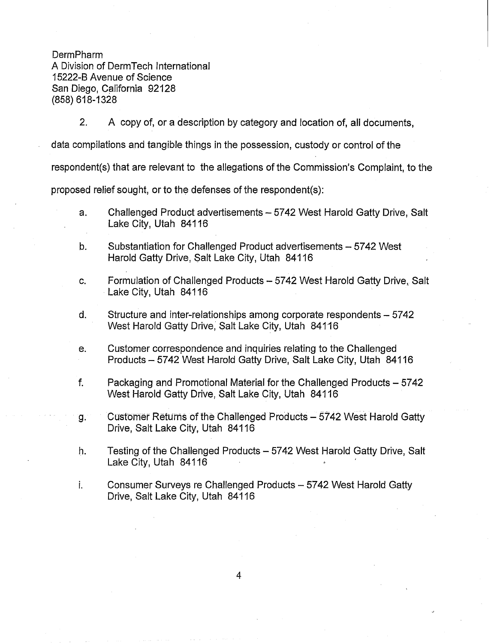DermPharm A Division of DermTech International 15222-B Avenue of Science San Diego, California 92128 (858) 618-1328

2, A copy of, or a description by category and location of, all documents,

data compilations and tangible things in the possession, custody or control of the

respondent(s) that are relevant to the allegations of the Commission's Complaint, to the

proposed relief sought, or to the defenses of the respondent(s):

- Challenged Product advertisements 5742 West Harold Gatty Drive, Salt  $a<sub>1</sub>$ Lake City, Utah 84116
- Substantiation for Challenged Product advertisements 5742 West  $b<sub>1</sub>$ Harold Gatty Drive, Salt Lake City, Utah 841 16
- C. Formulation of Challenged Products - 5742 West Harold Gatty Drive, Salt Lake City, Utah 84116
- d. Structure and inter-relationships among corporate respondents - 5742 West Harold Gatty Drive, Salt Lake City, Utah 84116
- e. Customer correspondence and inquiries relating to the Challenged Products - 5742 West Harold Gatty Drive, Salt Lake City, Utah 841 16
- f. Packaging and Promotional Material for the Challenged Products - 5742 West Harold Gatty Drive, Salt Lake City, Utah 841 16
- Customer Returns of the Challenged Products 5742 West Harold Gatty g. Drive, Salt Lake City, Utah 841 16
- h. Testing of the Challenged Products - 5742 West Harold Gatty Drive, Salt Lake City, Utah 84116
- i. Consumer Surveys re Challenged Products - 5742 West Harold Gatty Drive, Salt Lake City, Utah 841 16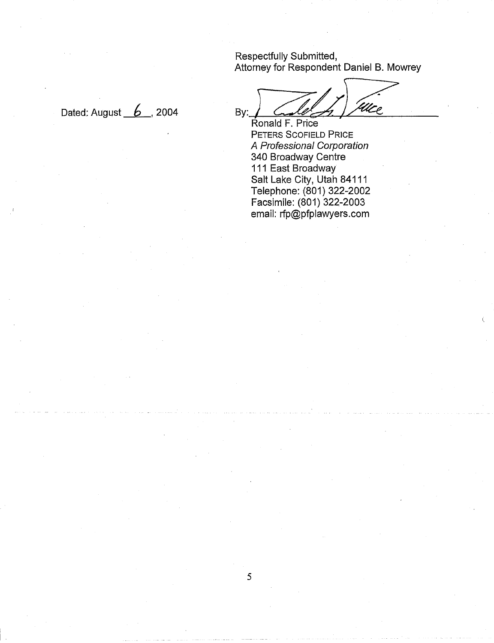Respectfully Submitted, Attorney for Respondent Daniel B. Mowrey

Dated: August  $6$ , 2004

.<br>WLC By:

Ronald F. Price PETERS SCOFIELD PRICE A Professional Corporation 340 Broadway Centre 111 East Broadway Salt Lake City, Utah 84111 Telephone: (801) 322-2002 Facsimile: (801) 322-2003 email: rfp@pfplawyers.com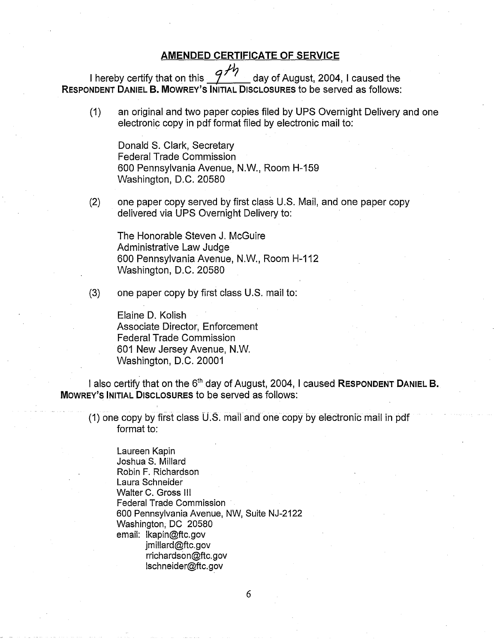## **AMENDED CERTIFICATE OF SERVICE**

I hereby certify that on this  $\mathcal{P}^{\mathcal{H}}$  day of August, 2004, I caused the **RESPONDENT DANIEL** B. **MOWREY'S INITIAL DISCLOSURES** to be served as follows:

an original and two paper copies filed by UPS Overnight Delivery and one  $(1)$ electronic copy in pdf format filed by electronic mail to:

Donald S. Clark, Secretary Federal Trade Commission 600 Pennsylvania Avenue, N.W., Room H-159 Washington, D.C. 20580

one paper copy served by first class U.S. Mail, and one paper copy  $(2)$ delivered via UPS Overnight Delivery to:

The Honorable Steven J. McGuire Administrative Law Judge 600 Pennsylvania Avenue, N.W., Room H-112 Washington, D.C. 20580

 $(3)$ one paper copy by first class U.S. mail to:

> Elaine D. Kolish Associate Director, Enforcement Federal Trade Commission 601 New Jersey Avenue, N.W. Washington, D.C. 20001

I also certify that on the 6<sup>th</sup> day of August, 2004, I caused **RESPONDENT DANIEL B. MOWREY'S INITIAL DISCLOSURES** to be served as follows:

(I) one copy by first class U.S. mail and one copy by electronic mail in pdf format to:

Laureen Kapin Joshua S. Millard Robin F. Richardson Laura Schneider Walter C. Gross Ill Federal Trade Commission 600 Pennsylvania Avenue, NW, Suite NJ-2122 Washington, DC 20580 email: Ikapin@ftc.gov jmillard@ftc.gov rrichardson@ftc.gov Ischneider@ftc.gov

6